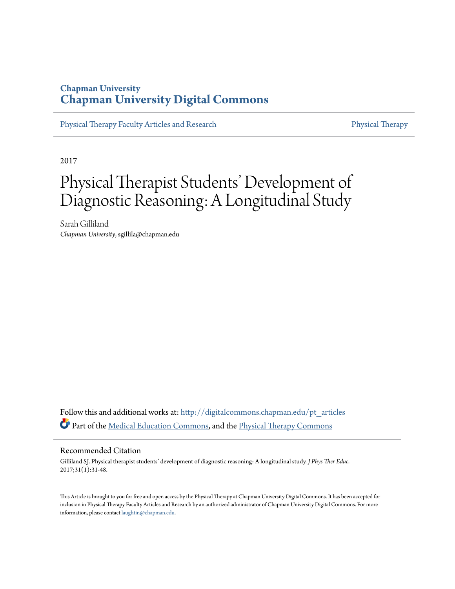## **Chapman University [Chapman University Digital Commons](http://digitalcommons.chapman.edu?utm_source=digitalcommons.chapman.edu%2Fpt_articles%2F54&utm_medium=PDF&utm_campaign=PDFCoverPages)**

[Physical Therapy Faculty Articles and Research](http://digitalcommons.chapman.edu/pt_articles?utm_source=digitalcommons.chapman.edu%2Fpt_articles%2F54&utm_medium=PDF&utm_campaign=PDFCoverPages) [Physical Therapy](http://digitalcommons.chapman.edu/physicaltherapy?utm_source=digitalcommons.chapman.edu%2Fpt_articles%2F54&utm_medium=PDF&utm_campaign=PDFCoverPages)

2017

# Physical Therapist Students' Development of Diagnostic Reasoning: A Longitudinal Study

Sarah Gilliland *Chapman University*, sgillila@chapman.edu

Follow this and additional works at: [http://digitalcommons.chapman.edu/pt\\_articles](http://digitalcommons.chapman.edu/pt_articles?utm_source=digitalcommons.chapman.edu%2Fpt_articles%2F54&utm_medium=PDF&utm_campaign=PDFCoverPages) Part of the [Medical Education Commons,](http://network.bepress.com/hgg/discipline/1125?utm_source=digitalcommons.chapman.edu%2Fpt_articles%2F54&utm_medium=PDF&utm_campaign=PDFCoverPages) and the [Physical Therapy Commons](http://network.bepress.com/hgg/discipline/754?utm_source=digitalcommons.chapman.edu%2Fpt_articles%2F54&utm_medium=PDF&utm_campaign=PDFCoverPages)

## Recommended Citation

Gilliland SJ. Physical therapist students' development of diagnostic reasoning: A longitudinal study. *J Phys Ther Educ*. 2017;31(1):31-48.

This Article is brought to you for free and open access by the Physical Therapy at Chapman University Digital Commons. It has been accepted for inclusion in Physical Therapy Faculty Articles and Research by an authorized administrator of Chapman University Digital Commons. For more information, please contact [laughtin@chapman.edu](mailto:laughtin@chapman.edu).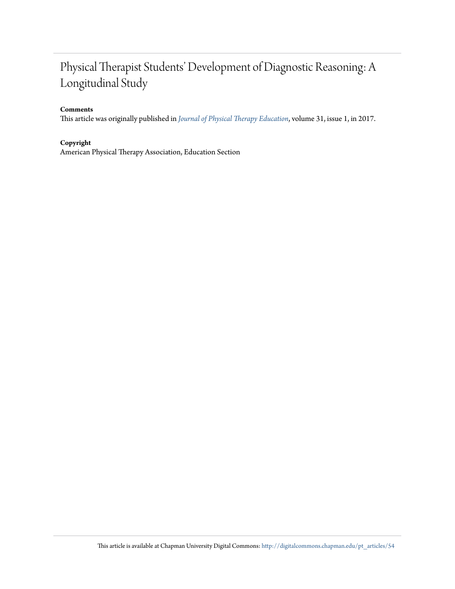## Physical Therapist Students' Development of Diagnostic Reasoning: A Longitudinal Study

## **Comments**

This article was originally published in *[Journal of Physical Therapy Education](https://aptaeducation.org/members/jopte/)*, volume 31, issue 1, in 2017.

## **Copyright**

American Physical Therapy Association, Education Section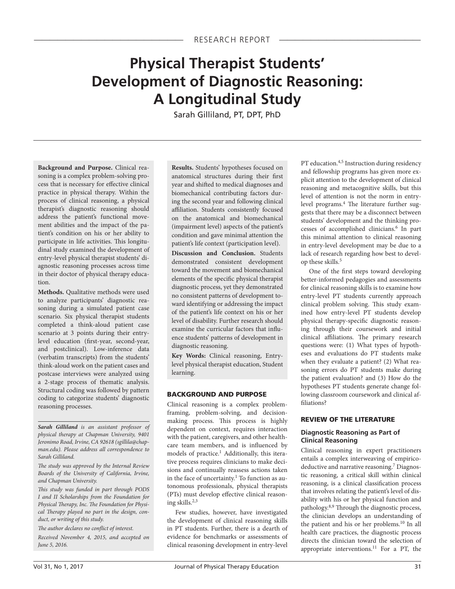## **Physical Therapist Students' Development of Diagnostic Reasoning: A Longitudinal Study**

Sarah Gilliland, PT, DPT, PhD

**Background and Purpose.** Clinical reasoning is a complex problem-solving process that is necessary for effective clinical practice in physical therapy. Within the process of clinical reasoning, a physical therapist's diagnostic reasoning should address the patient's functional movement abilities and the impact of the patient's condition on his or her ability to participate in life activities. This longitudinal study examined the development of entry-level physical therapist students' diagnostic reasoning processes across time in their doctor of physical therapy education.

**Methods.** Qualitative methods were used to analyze participants' diagnostic reasoning during a simulated patient case scenario. Six physical therapist students completed a think-aloud patient case scenario at 3 points during their entrylevel education (first-year, second-year, and postclinical). Low-inference data (verbatim transcripts) from the students' think-aloud work on the patient cases and postcase interviews were analyzed using a 2-stage process of thematic analysis. Structural coding was followed by pattern coding to categorize students' diagnostic reasoning processes.

*Sarah Gilliland is an assistant professor of physical therapy at Chapman University, 9401 Jeronimo Road, Irvine, CA 92618 (sgillila@chapman.edu). Please address all correspondence to Sarah Gilliland.*

*The study was approved by the Internal Review Boards of the University of California, Irvine, and Chapman University.*

*This study was funded in part through PODS I and II Scholarships from the Foundation for Physical Therapy, Inc. The Foundation for Physical Therapy played no part in the design, conduct, or writing of this study.*

*The author declares no conflict of interest.*

*Received November 4, 2015, and accepted on June 5, 2016.*

**Results.** Students' hypotheses focused on anatomical structures during their first year and shifted to medical diagnoses and biomechanical contributing factors during the second year and following clinical affiliation. Students consistently focused on the anatomical and biomechanical (impairment level) aspects of the patient's condition and gave minimal attention the patient's life context (participation level).

**Discussion and Conclusion.** Students demonstrated consistent development toward the movement and biomechanical elements of the specific physical therapist diagnostic process, yet they demonstrated no consistent patterns of development toward identifying or addressing the impact of the patient's life context on his or her level of disability. Further research should examine the curricular factors that influence students' patterns of development in diagnostic reasoning.

**Key Words:** Clinical reasoning, Entrylevel physical therapist education, Student learning.

### BACKGROUND AND PURPOSE

Clinical reasoning is a complex problemframing, problem-solving, and decisionmaking process. This process is highly dependent on context, requires interaction with the patient, caregivers, and other healthcare team members, and is influenced by models of practice.<sup>1</sup> Additionally, this iterative process requires clinicians to make decisions and continually reassess actions taken in the face of uncertainty.<sup>1</sup> To function as autonomous professionals, physical therapists (PTs) must develop effective clinical reasoning skills.2,3

Few studies, however, have investigated the development of clinical reasoning skills in PT students. Further, there is a dearth of evidence for benchmarks or assessments of clinical reasoning development in entry-level

PT education.<sup>4,5</sup> Instruction during residency and fellowship programs has given more explicit attention to the development of clinical reasoning and metacognitive skills, but this level of attention is not the norm in entrylevel programs.4 The literature further suggests that there may be a disconnect between students' development and the thinking processes of accomplished clinicians.6 In part this minimal attention to clinical reasoning in entry-level development may be due to a lack of research regarding how best to develop these skills.<sup>5</sup>

One of the first steps toward developing better-informed pedagogies and assessments for clinical reasoning skills is to examine how entry-level PT students currently approach clinical problem solving. This study examined how entry-level PT students develop physical therapy-specific diagnostic reasoning through their coursework and initial clinical affiliations. The primary research questions were: (1) What types of hypotheses and evaluations do PT students make when they evaluate a patient? (2) What reasoning errors do PT students make during the patient evaluation? and (3) How do the hypotheses PT students generate change following classroom coursework and clinical affiliations?

### REVIEW OF THE LITERATURE

### **Diagnostic Reasoning as Part of Clinical Reasoning**

Clinical reasoning in expert practitioners entails a complex interweaving of empiricodeductive and narrative reasoning.<sup>7</sup> Diagnostic reasoning, a critical skill within clinical reasoning, is a clinical classification process that involves relating the patient's level of disability with his or her physical function and pathology.8,9 Through the diagnostic process, the clinician develops an understanding of the patient and his or her problems.10 In all health care practices, the diagnostic process directs the clinician toward the selection of appropriate interventions.<sup>11</sup> For a PT, the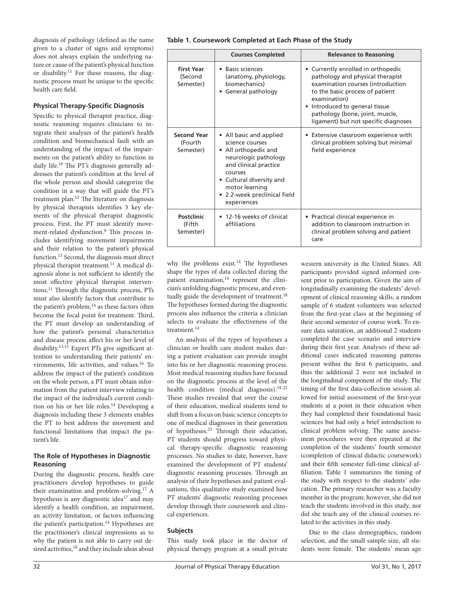diagnosis of pathology (defined as the name given to a cluster of signs and symptoms) does not always explain the underlying nature or cause of the patient's physical function or disability.<sup>11</sup> For these reasons, the diagnostic process must be unique to the specific health care field.

## **Physical Therapy-Specific Diagnosis**

Specific to physical therapist practice, diagnostic reasoning requires clinicians to integrate their analyses of the patient's health condition and biomechanical fault with an understanding of the impact of the impairments on the patient's ability to function in daily life.10 The PT's diagnosis generally addresses the patient's condition at the level of the whole person and should categorize the condition in a way that will guide the PT's treatment plan.<sup>12</sup> The literature on diagnosis by physical therapists identifies 3 key elements of the physical therapist diagnostic process. First, the PT must identify movement-related dysfunction.<sup>9</sup> This process includes identifying movement impairments and their relation to the patient's physical function.13 Second, the diagnosis must direct physical therapist treatment.11 A medical diagnosis alone is not sufficient to identify the most effective physical therapist interventions.11 Through the diagnostic process, PTs must also identify factors that contribute to the patient's problem, $^{14}$  as these factors often become the focal point for treatment. Third, the PT must develop an understanding of how the patient's personal characteristics and disease process affect his or her level of disability.13,15 Expert PTs give significant attention to understanding their patients' environments, life activities, and values.16 To address the impact of the patient's condition on the whole person, a PT must obtain information from the patient interview relating to the impact of the individual's current condition on his or her life roles.<sup>14</sup> Developing a diagnosis including these 3 elements enables the PT to best address the movement and functional limitations that impact the patient's life.

## **The Role of Hypotheses in Diagnostic Reasoning**

During the diagnostic process, health care practitioners develop hypotheses to guide their examination and problem-solving.17 A hypothesis is any diagnostic idea<sup>17</sup> and may identify a health condition, an impairment, an activity limitation, or factors influencing the patient's participation.<sup>14</sup> Hypotheses are the practitioner's clinical impressions as to why the patient is not able to carry out desired activities,<sup>18</sup> and they include ideas about

### **Table 1. Coursework Completed at Each Phase of the Study**

|                                            | <b>Courses Completed</b>                                                                                                                                                                                                    | <b>Relevance to Reasoning</b>                                                                                                                                                                                                                                                  |
|--------------------------------------------|-----------------------------------------------------------------------------------------------------------------------------------------------------------------------------------------------------------------------------|--------------------------------------------------------------------------------------------------------------------------------------------------------------------------------------------------------------------------------------------------------------------------------|
| <b>First Year</b><br>(Second<br>Semester)  | • Basic sciences<br>(anatomy, physiology,<br>biomechanics)<br>• General pathology                                                                                                                                           | • Currently enrolled in orthopedic<br>pathology and physical therapist<br>examination courses (introduction<br>to the basic process of patient<br>examination)<br>Introduced to general tissue<br>٠<br>pathology (bone, joint, muscle,<br>ligament) but not specific diagnoses |
| <b>Second Year</b><br>(Fourth<br>Semester) | • All basic and applied<br>science courses<br>• All orthopedic and<br>neurologic pathology<br>and clinical practice<br>courses<br>• Cultural diversity and<br>motor learning<br>• 2 2-week preclinical field<br>experiences | • Extensive classroom experience with<br>clinical problem solving but minimal<br>field experience                                                                                                                                                                              |
| <b>Postclinic</b><br>(Fifth<br>Semester)   | • 12-16 weeks of clinical<br>affiliations                                                                                                                                                                                   | • Practical clinical experience in<br>addition to classroom instruction in<br>clinical problem solving and patient<br>care                                                                                                                                                     |

why the problems exist. $14$  The hypotheses shape the types of data collected during the patient examination,<sup>14</sup> represent the clinician's unfolding diagnostic process, and eventually guide the development of treatment.<sup>18</sup> The hypotheses formed during the diagnostic process also influence the criteria a clinician selects to evaluate the effectiveness of the treatment. $^{\rm 14}$ 

An analysis of the types of hypotheses a clinician or health care student makes during a patient evaluation can provide insight into his or her diagnostic reasoning process. Most medical reasoning studies have focused on the diagnostic process at the level of the health condition (medical diagnosis).19-22 These studies revealed that over the course of their education, medical students tend to shift from a focus on basic science concepts to one of medical diagnoses in their generation of hypotheses.23 Through their education, PT students should progress toward physical therapy-specific diagnostic reasoning processes. No studies to date, however, have examined the development of PT students' diagnostic reasoning processes. Through an analysis of their hypotheses and patient evaluations, this qualitative study examined how PT students' diagnostic reasoning processes develop through their coursework and clinical experiences.

## **Subjects**

This study took place in the doctor of physical therapy program at a small private

western university in the United States. All participants provided signed informed consent prior to participation. Given the aim of longitudinally examining the students' development of clinical reasoning skills, a random sample of 6 student volunteers was selected from the first-year class at the beginning of their second semester of course work. To ensure data saturation, an additional 2 students completed the case scenario and interview during their first year. Analyses of these additional cases indicated reasoning patterns present within the first 6 participants, and thus the additional 2 were not included in the longitudinal component of the study. The timing of the first data-collection session allowed for initial assessment of the first-year students at a point in their education when they had completed their foundational basic sciences but had only a brief introduction to clinical problem solving. The same assessment procedures were then repeated at the completion of the students' fourth semester (completion of clinical didactic coursework) and their fifth semester full-time clinical affiliation. Table 1 summarizes the timing of the study with respect to the students' education. The primary researcher was a faculty member in the program; however, she did not teach the students involved in this study, nor did she teach any of the clinical courses related to the activities in this study.

Due to the class demographics, random selection, and the small sample size, all students were female. The students' mean age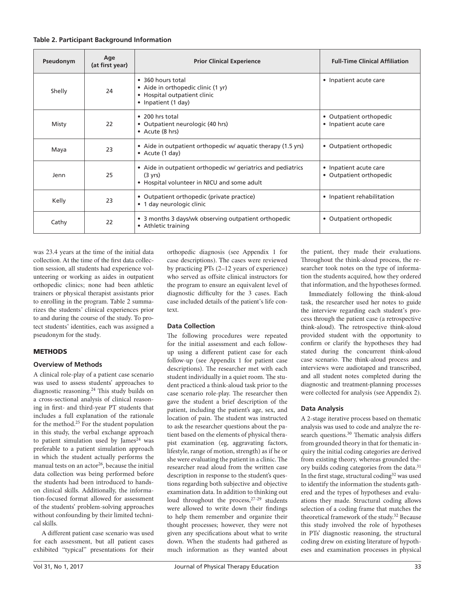## **Table 2. Participant Background Information**

| Pseudonym | Age<br>(at first year) | <b>Prior Clinical Experience</b>                                                                                                 | <b>Full-Time Clinical Affiliation</b>             |
|-----------|------------------------|----------------------------------------------------------------------------------------------------------------------------------|---------------------------------------------------|
| Shelly    | 24                     | • 360 hours total<br>• Aide in orthopedic clinic (1 yr)<br>• Hospital outpatient clinic<br>• Inpatient (1 day)                   | • Inpatient acute care                            |
| Misty     | 22                     | $\bullet$ 200 hrs total<br>• Outpatient neurologic (40 hrs)<br>• Acute (8 hrs)                                                   | • Outpatient orthopedic<br>• Inpatient acute care |
| Maya      | 23                     | • Aide in outpatient orthopedic w/ aquatic therapy (1.5 yrs)<br>• Acute $(1 day)$                                                | • Outpatient orthopedic                           |
| Jenn      | 25                     | • Aide in outpatient orthopedic w/ geriatrics and pediatrics<br>$(3 \text{ vrs})$<br>• Hospital volunteer in NICU and some adult | • Inpatient acute care<br>• Outpatient orthopedic |
| Kelly     | 23                     | • Outpatient orthopedic (private practice)<br>• 1 day neurologic clinic                                                          | • Inpatient rehabilitation                        |
| Cathy     | 22                     | • 3 months 3 days/wk observing outpatient orthopedic<br>• Athletic training                                                      | • Outpatient orthopedic                           |

was 23.4 years at the time of the initial data collection. At the time of the first data collection session, all students had experience volunteering or working as aides in outpatient orthopedic clinics; none had been athletic trainers or physical therapist assistants prior to enrolling in the program. Table 2 summarizes the students' clinical experiences prior to and during the course of the study. To protect students' identities, each was assigned a pseudonym for the study.

## **METHODS**

## **Overview of Methods**

A clinical role-play of a patient case scenario was used to assess students' approaches to diagnostic reasoning.24 This study builds on a cross-sectional analysis of clinical reasoning in first- and third-year PT students that includes a full explanation of the rationale for the method.25 For the student population in this study, the verbal exchange approach to patient simulation used by James<sup>24</sup> was preferable to a patient simulation approach in which the student actually performs the manual tests on an actor<sup>26</sup>, because the initial data collection was being performed before the students had been introduced to handson clinical skills. Additionally, the information-focused format allowed for assessment of the students' problem-solving approaches without confounding by their limited technical skills.

A different patient case scenario was used for each assessment, but all patient cases exhibited "typical" presentations for their orthopedic diagnosis (see Appendix 1 for case descriptions). The cases were reviewed by practicing PTs (2–12 years of experience) who served as offsite clinical instructors for the program to ensure an equivalent level of diagnostic difficulty for the 3 cases. Each case included details of the patient's life context.

## **Data Collection**

The following procedures were repeated for the initial assessment and each followup using a different patient case for each follow-up (see Appendix 1 for patient case descriptions). The researcher met with each student individually in a quiet room. The student practiced a think-aloud task prior to the case scenario role-play. The researcher then gave the student a brief description of the patient, including the patient's age, sex, and location of pain. The student was instructed to ask the researcher questions about the patient based on the elements of physical therapist examination (eg, aggravating factors, lifestyle, range of motion, strength) as if he or she were evaluating the patient in a clinic. The researcher read aloud from the written case description in response to the student's questions regarding both subjective and objective examination data. In addition to thinking out loud throughout the process, $27-29$  students were allowed to write down their findings to help them remember and organize their thought processes; however, they were not given any specifications about what to write down. When the students had gathered as much information as they wanted about the patient, they made their evaluations. Throughout the think-aloud process, the researcher took notes on the type of information the students acquired, how they ordered that information, and the hypotheses formed.

Immediately following the think-aloud task, the researcher used her notes to guide the interview regarding each student's process through the patient case (a retrospective think-aloud). The retrospective think-aloud provided student with the opportunity to confirm or clarify the hypotheses they had stated during the concurrent think-aloud case scenario. The think-aloud process and interviews were audiotaped and transcribed, and all student notes completed during the diagnostic and treatment-planning processes were collected for analysis (see Appendix 2).

## **Data Analysis**

A 2-stage iterative process based on thematic analysis was used to code and analyze the research questions.<sup>30</sup> Thematic analysis differs from grounded theory in that for thematic inquiry the initial coding categories are derived from existing theory, whereas grounded theory builds coding categories from the data.<sup>31</sup> In the first stage, structural coding<sup>32</sup> was used to identify the information the students gathered and the types of hypotheses and evaluations they made. Structural coding allows selection of a coding frame that matches the theoretical framework of the study.<sup>32</sup> Because this study involved the role of hypotheses in PTs' diagnostic reasoning, the structural coding drew on existing literature of hypotheses and examination processes in physical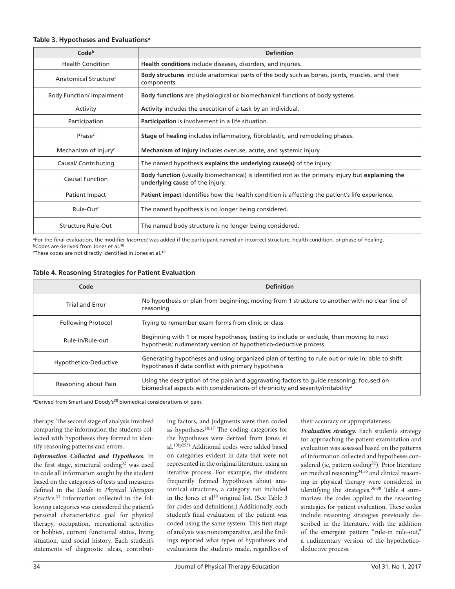## **Table 3. Hypotheses and Evaluationsa**

| Code <sup>b</sup>                 | <b>Definition</b>                                                                                                                   |
|-----------------------------------|-------------------------------------------------------------------------------------------------------------------------------------|
| <b>Health Condition</b>           | Health conditions include diseases, disorders, and injuries.                                                                        |
| Anatomical Structure <sup>c</sup> | Body structures include anatomical parts of the body such as bones, joints, muscles, and their<br>components.                       |
| <b>Body Function/ Impairment</b>  | <b>Body functions</b> are physiological or biomechanical functions of body systems.                                                 |
| Activity                          | Activity includes the execution of a task by an individual.                                                                         |
| Participation                     | Participation is involvement in a life situation.                                                                                   |
| Phase <sup>c</sup>                | Stage of healing includes inflammatory, fibroblastic, and remodeling phases.                                                        |
| Mechanism of Injury <sup>c</sup>  | Mechanism of injury includes overuse, acute, and systemic injury.                                                                   |
| Causal/ Contributing              | The named hypothesis explains the underlying cause(s) of the injury.                                                                |
| <b>Causal Function</b>            | Body function (usually biomechanical) is identified not as the primary injury but explaining the<br>underlying cause of the injury. |
| Patient Impact                    | Patient impact identifies how the health condition is affecting the patient's life experience.                                      |
| Rule-Out <sup>c</sup>             | The named hypothesis is no longer being considered.                                                                                 |
| Structure Rule-Out                | The named body structure is no longer being considered.                                                                             |

aFor the final evaluation, the modifier *Incorrect* was added if the participant named an incorrect structure, health condition, or phase of healing. **bCodes are derived from Jones et al.<sup>10</sup>** 

These codes are not directly identified in Jones et al.<sup>10</sup>

### **Table 4. Reasoning Strategies for Patient Evaluation**

| Code                      | <b>Definition</b>                                                                                                                                                                       |
|---------------------------|-----------------------------------------------------------------------------------------------------------------------------------------------------------------------------------------|
| <b>Trial and Frror</b>    | No hypothesis or plan from beginning; moving from 1 structure to another with no clear line of<br>reasoning                                                                             |
| <b>Following Protocol</b> | Trying to remember exam forms from clinic or class                                                                                                                                      |
| Rule-in/Rule-out          | Beginning with 1 or more hypotheses; testing to include or exclude, then moving to next<br>hypothesis; rudimentary version of hypothetico-deductive process                             |
| Hypothetico-Deductive     | Generating hypotheses and using organized plan of testing to rule out or rule in; able to shift<br>hypotheses if data conflict with primary hypothesis                                  |
| Reasoning about Pain      | Using the description of the pain and aggravating factors to guide reasoning; focused on<br>biomedical aspects with considerations of chronicity and severity/irritability <sup>a</sup> |

<sup>a</sup>Derived from Smart and Doody's<sup>38</sup> biomedical considerations of pain.

therapy. The second stage of analysis involved comparing the information the students collected with hypotheses they formed to identify reasoning patterns and errors.

*Information Collected and Hypotheses.* In the first stage, structural coding<sup>32</sup> was used to code all information sought by the student based on the categories of tests and measures defined in the *Guide to Physical Therapist Practice.*<sup>33</sup> Information collected in the following categories was considered the patient's personal characteristics: goal for physical therapy, occupation, recreational activities or hobbies, current functional status, living situation, and social history. Each student's statements of diagnostic ideas, contributing factors, and judgments were then coded as hypotheses $10,17$  The coding categories for the hypotheses were derived from Jones et al.10(p253) Additional codes were added based on categories evident in data that were not represented in the original literature, using an iterative process. For example, the students frequently formed hypotheses about anatomical structures, a category not included in the Jones et al $10$  original list. (See Table 3 for codes and definitions.) Additionally, each student's final evaluation of the patient was coded using the same system. This first stage of analysis was noncomparative, and the findings reported what types of hypotheses and evaluations the students made, regardless of their accuracy or appropriateness.

*Evaluation strategy.* Each student's strategy for approaching the patient examination and evaluation was assessed based on the patterns of information collected and hypotheses considered (ie, pattern coding<sup>32</sup>). Prior literature on medical reasoning34,35 and clinical reasoning in physical therapy were considered in identifying the strategies.<sup>36-38</sup> Table 4 summarizes the codes applied to the reasoning strategies for patient evaluation. These codes include reasoning strategies previously described in the literature, with the addition of the emergent pattern "rule-in rule-out," a rudimentary version of the hypotheticodeductive process.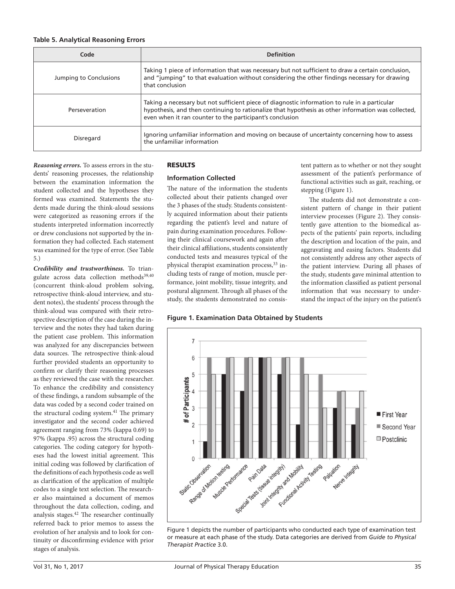## **Table 5. Analytical Reasoning Errors**

| Code                   | <b>Definition</b>                                                                                                                                                                                                                                               |
|------------------------|-----------------------------------------------------------------------------------------------------------------------------------------------------------------------------------------------------------------------------------------------------------------|
| Jumping to Conclusions | Taking 1 piece of information that was necessary but not sufficient to draw a certain conclusion,<br>and "jumping" to that evaluation without considering the other findings necessary for drawing<br>that conclusion                                           |
| Perseveration          | Taking a necessary but not sufficient piece of diagnostic information to rule in a particular<br>hypothesis, and then continuing to rationalize that hypothesis as other information was collected,<br>even when it ran counter to the participant's conclusion |
| Disregard              | Ignoring unfamiliar information and moving on because of uncertainty concerning how to assess<br>the unfamiliar information                                                                                                                                     |

*Reasoning errors.* To assess errors in the students' reasoning processes, the relationship between the examination information the student collected and the hypotheses they formed was examined. Statements the students made during the think-aloud sessions were categorized as reasoning errors if the students interpreted information incorrectly or drew conclusions not supported by the information they had collected. Each statement was examined for the type of error. (See Table 5.)

*Credibility and trustworthiness.* To triangulate across data collection methods<sup>39,40</sup> (concurrent think-aloud problem solving, retrospective think-aloud interview, and student notes), the students' process through the think-aloud was compared with their retrospective description of the case during the interview and the notes they had taken during the patient case problem. This information was analyzed for any discrepancies between data sources. The retrospective think-aloud further provided students an opportunity to confirm or clarify their reasoning processes as they reviewed the case with the researcher. To enhance the credibility and consistency of these findings, a random subsample of the data was coded by a second coder trained on the structural coding system.<sup>41</sup> The primary investigator and the second coder achieved agreement ranging from 73% (kappa 0.69) to 97% (kappa .95) across the structural coding categories. The coding category for hypotheses had the lowest initial agreement. This initial coding was followed by clarification of the definitions of each hypothesis code as well as clarification of the application of multiple codes to a single text selection. The researcher also maintained a document of memos throughout the data collection, coding, and analysis stages.42 The researcher continually referred back to prior memos to assess the evolution of her analysis and to look for continuity or disconfirming evidence with prior stages of analysis.

## RESULTS

### **Information Collected**

The nature of the information the students collected about their patients changed over the 3 phases of the study. Students consistently acquired information about their patients regarding the patient's level and nature of pain during examination procedures. Following their clinical coursework and again after their clinical affiliations, students consistently conducted tests and measures typical of the physical therapist examination process,<sup>33</sup> including tests of range of motion, muscle performance, joint mobility, tissue integrity, and postural alignment. Through all phases of the study, the students demonstrated no consis-

tent pattern as to whether or not they sought assessment of the patient's performance of functional activities such as gait, reaching, or stepping (Figure 1).

The students did not demonstrate a consistent pattern of change in their patient interview processes (Figure 2). They consistently gave attention to the biomedical aspects of the patients' pain reports, including the description and location of the pain, and aggravating and easing factors. Students did not consistently address any other aspects of the patient interview. During all phases of the study, students gave minimal attention to the information classified as patient personal information that was necessary to understand the impact of the injury on the patient's

## **Figure 1. Examination Data Obtained by Students**



Figure 1 depicts the number of participants who conducted each type of examination test or measure at each phase of the study. Data categories are derived from *Guide to Physical Therapist Practice* 3.0.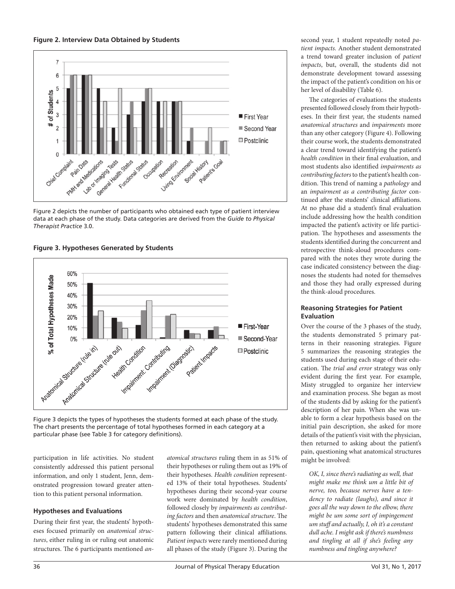



Figure 2 depicts the number of participants who obtained each type of patient interview data at each phase of the study. Data categories are derived from the *Guide to Physical Therapist Practice* 3.0.

**Figure 3. Hypotheses Generated by Students**



Figure 3 depicts the types of hypotheses the students formed at each phase of the study. The chart presents the percentage of total hypotheses formed in each category at a particular phase (see Table 3 for category definitions).

participation in life activities. No student consistently addressed this patient personal information, and only 1 student, Jenn, demonstrated progression toward greater attention to this patient personal information.

## **Hypotheses and Evaluations**

During their first year, the students' hypotheses focused primarily on *anatomical structures*, either ruling in or ruling out anatomic structures. The 6 participants mentioned *an-* *atomical structures* ruling them in as 51% of their hypotheses or ruling them out as 19% of their hypotheses. *Health condition* represented 13% of their total hypotheses. Students' hypotheses during their second-year course work were dominated by *health condition*, followed closely by *impairments as contributing factors* and then *anatomical structure*. The students' hypotheses demonstrated this same pattern following their clinical affiliations. *Patient impacts* were rarely mentioned during all phases of the study (Figure 3). During the

second year, 1 student repeatedly noted *patient impacts.* Another student demonstrated a trend toward greater inclusion of *patient impacts*, but, overall, the students did not demonstrate development toward assessing the impact of the patient's condition on his or her level of disability (Table 6).

The categories of evaluations the students presented followed closely from their hypotheses. In their first year, the students named *anatomical structures* and *impairments* more than any other category (Figure 4). Following their course work, the students demonstrated a clear trend toward identifying the patient's *health condition* in their final evaluation, and most students also identified *impairments as contributing factors* to the patient's health condition. This trend of naming a *pathology* and an *impairment as a contributing factor* continued after the students' clinical affiliations. At no phase did a student's final evaluation include addressing how the health condition impacted the patient's activity or life participation. The hypotheses and assessments the students identified during the concurrent and retrospective think-aloud procedures compared with the notes they wrote during the case indicated consistency between the diagnoses the students had noted for themselves and those they had orally expressed during the think-aloud procedures.

## **Reasoning Strategies for Patient Evaluation**

Over the course of the 3 phases of the study, the students demonstrated 5 primary patterns in their reasoning strategies. Figure 5 summarizes the reasoning strategies the students used during each stage of their education. The *trial and error* strategy was only evident during the first year. For example, Misty struggled to organize her interview and examination process. She began as most of the students did by asking for the patient's description of her pain. When she was unable to form a clear hypothesis based on the initial pain description, she asked for more details of the patient's visit with the physician, then returned to asking about the patient's pain, questioning what anatomical structures might be involved:

*OK, I, since there's radiating as well, that might make me think um a little bit of nerve, too, because nerves have a tendency to radiate (laughs), and since it goes all the way down to the elbow, there might be um some sort of impingement um stuff and actually, I, oh it's a constant dull ache. I might ask if there's numbness and tingling at all if she's feeling any numbness and tingling anywhere?*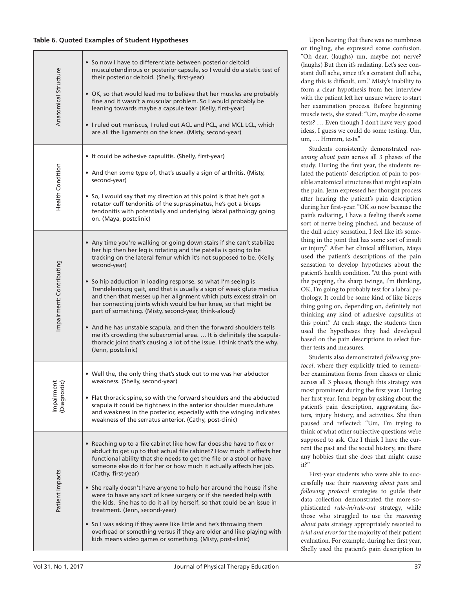## **Table 6. Quoted Examples of Student Hypotheses**

| Anatomical Structure        | • So now I have to differentiate between posterior deltoid<br>musculotendinous or posterior capsule, so I would do a static test of<br>their posterior deltoid. (Shelly, first-year)<br>• OK, so that would lead me to believe that her muscles are probably<br>fine and it wasn't a muscular problem. So I would probably be<br>leaning towards maybe a capsule tear. (Kelly, first-year)<br>. I ruled out meniscus, I ruled out ACL and PCL, and MCL LCL, which<br>are all the ligaments on the knee. (Misty, second-year)                                                                                                                                                                                                                                                                                                |
|-----------------------------|-----------------------------------------------------------------------------------------------------------------------------------------------------------------------------------------------------------------------------------------------------------------------------------------------------------------------------------------------------------------------------------------------------------------------------------------------------------------------------------------------------------------------------------------------------------------------------------------------------------------------------------------------------------------------------------------------------------------------------------------------------------------------------------------------------------------------------|
| Health Condition            | • It could be adhesive capsulitis. (Shelly, first-year)<br>• And then some type of, that's usually a sign of arthritis. (Misty,<br>second-year)<br>• So, I would say that my direction at this point is that he's got a<br>rotator cuff tendonitis of the supraspinatus, he's got a biceps<br>tendonitis with potentially and underlying labral pathology going<br>on. (Maya, postclinic)                                                                                                                                                                                                                                                                                                                                                                                                                                   |
| Impairment: Contributing    | • Any time you're walking or going down stairs if she can't stabilize<br>her hip then her leg is rotating and the patella is going to be<br>tracking on the lateral femur which it's not supposed to be. (Kelly,<br>second-year)<br>• So hip adduction in loading response, so what I'm seeing is<br>Trendelenburg gait, and that is usually a sign of weak glute medius<br>and then that messes up her alignment which puts excess strain on<br>her connecting joints which would be her knee, so that might be<br>part of something. (Misty, second-year, think-aloud)<br>• And he has unstable scapula, and then the forward shoulders tells<br>me it's crowding the subacromial area.  It is definitely the scapula-<br>thoracic joint that's causing a lot of the issue. I think that's the why.<br>(Jenn, postclinic) |
| ⊡<br>Impairmer<br>(Diagnost | • Well the, the only thing that's stuck out to me was her abductor<br>weakness. (Shelly, second-year)<br>• Flat thoracic spine, so with the forward shoulders and the abducted<br>scapula it could be tightness in the anterior shoulder musculature<br>and weakness in the posterior, especially with the winging indicates<br>weakness of the serratus anterior. (Cathy, post-clinic)                                                                                                                                                                                                                                                                                                                                                                                                                                     |
| Patient Impacts             | • Reaching up to a file cabinet like how far does she have to flex or<br>abduct to get up to that actual file cabinet? How much it affects her<br>functional ability that she needs to get the file or a stool or have<br>someone else do it for her or how much it actually affects her job.<br>(Cathy, first-year)<br>• She really doesn't have anyone to help her around the house if she<br>were to have any sort of knee surgery or if she needed help with<br>the kids. She has to do it all by herself, so that could be an issue in<br>treatment. (Jenn, second-year)<br>• So I was asking if they were like little and he's throwing them<br>overhead or something versus if they are older and like playing with<br>kids means video games or something. (Misty, post-clinic)                                     |

Upon hearing that there was no numbness or tingling, she expressed some confusion. "Oh dear, (laughs) um, maybe not nerve? (laughs) But then it's radiating. Let's see: constant dull ache, since it's a constant dull ache, dang this is difficult, um." Misty's inability to form a clear hypothesis from her interview with the patient left her unsure where to start her examination process. Before beginning muscle tests, she stated: "Um, maybe do some tests? … Even though I don't have very good ideas, I guess we could do some testing. Um, um, … Hmmm, tests."

Students consistently demonstrated *reasoning about pain* across all 3 phases of the study. During the first year, the students related the patients' description of pain to possible anatomical structures that might explain the pain. Jenn expressed her thought process after hearing the patient's pain description during her first-year. "OK so now because the pain's radiating, I have a feeling there's some sort of nerve being pinched, and because of the dull achey sensation, I feel like it's something in the joint that has some sort of insult or injury." After her clinical affiliation, Maya used the patient's descriptions of the pain sensation to develop hypotheses about the patient's health condition. "At this point with the popping, the sharp twinge, I'm thinking, OK, I'm going to probably test for a labral pathology. It could be some kind of like biceps thing going on, depending on, definitely not thinking any kind of adhesive capsulitis at this point." At each stage, the students then used the hypotheses they had developed based on the pain descriptions to select further tests and measures.

Students also demonstrated *following protocol*, where they explicitly tried to remember examination forms from classes or clinic across all 3 phases, though this strategy was most prominent during the first year. During her first year, Jenn began by asking about the patient's pain description, aggravating factors, injury history, and activities. She then paused and reflected: "Um, I'm trying to think of what other subjective questions we're supposed to ask. Cuz I think I have the current the past and the social history, are there any hobbies that she does that might cause it?"

First-year students who were able to successfully use their *reasoning about pain* and *following protocol* strategies to guide their data collection demonstrated the more-sophisticated *rule-in/rule-out* strategy, while those who struggled to use the *reasoning about pain* strategy appropriately resorted to *trial and error* for the majority of their patient evaluation. For example, during her first year, Shelly used the patient's pain description to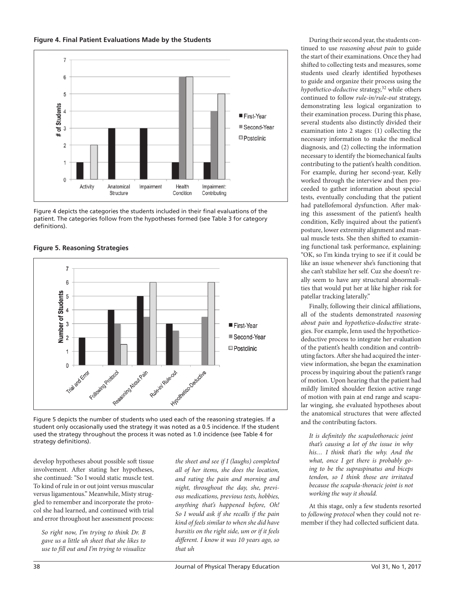



Figure 4 depicts the categories the students included in their final evaluations of the patient. The categories follow from the hypotheses formed (see Table 3 for category definitions).

## **Figure 5. Reasoning Strategies**



Figure 5 depicts the number of students who used each of the reasoning strategies. If a student only occasionally used the strategy it was noted as a 0.5 incidence. If the student used the strategy throughout the process it was noted as 1.0 incidence (see Table 4 for strategy definitions).

develop hypotheses about possible soft tissue involvement. After stating her hypotheses, she continued: "So I would static muscle test. To kind of rule in or out joint versus muscular versus ligamentous." Meanwhile, Misty struggled to remember and incorporate the protocol she had learned, and continued with trial and error throughout her assessment process:

*So right now, I'm trying to think Dr. B gave us a little uh sheet that she likes to use to fill out and I'm trying to visualize* 

*the sheet and see if I (laughs) completed all of her items, she does the location, and rating the pain and morning and night, throughout the day, she, previous medications, previous tests, hobbies, anything that's happened before, Oh! So I would ask if she recalls if the pain kind of feels similar to when she did have bursitis on the right side, um or if it feels different. I know it was 10 years ago, so that uh*

During their second year, the students continued to use *reasoning about pain* to guide the start of their examinations. Once they had shifted to collecting tests and measures, some students used clearly identified hypotheses to guide and organize their process using the *hypothetico-deductive* strategy,<sup>32</sup> while others continued to follow *rule-in/rule-out* strategy, demonstrating less logical organization to their examination process. During this phase, several students also distinctly divided their examination into 2 stages: (1) collecting the necessary information to make the medical diagnosis, and (2) collecting the information necessary to identify the biomechanical faults contributing to the patient's health condition. For example, during her second-year, Kelly worked through the interview and then proceeded to gather information about special tests, eventually concluding that the patient had patellofemoral dysfunction. After making this assessment of the patient's health condition, Kelly inquired about the patient's posture, lower extremity alignment and manual muscle tests. She then shifted to examining functional task performance, explaining: "OK, so I'm kinda trying to see if it could be like an issue whenever she's functioning that she can't stabilize her self. Cuz she doesn't really seem to have any structural abnormalities that would put her at like higher risk for patellar tracking laterally."

Finally, following their clinical affiliations, all of the students demonstrated *reasoning about pain* and *hypothetico-deductive* strategies. For example, Jenn used the hypotheticodeductive process to integrate her evaluation of the patient's health condition and contributing factors. After she had acquired the interview information, she began the examination process by inquiring about the patient's range of motion. Upon hearing that the patient had mildly limited shoulder flexion active range of motion with pain at end range and scapular winging, she evaluated hypotheses about the anatomical structures that were affected and the contributing factors.

*It is definitely the scapulothoracic joint that's causing a lot of the issue in why his… I think that's the why. And the what, once I get there is probably going to be the supraspinatus and biceps tendon, so I think those are irritated because the scapula-thoracic joint is not working the way it should.*

At this stage, only a few students resorted to *following protocol* when they could not remember if they had collected sufficient data.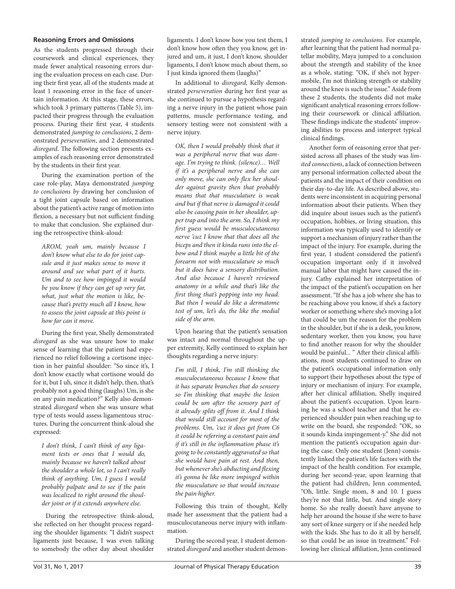## **Reasoning Errors and Omissions**

As the students progressed through their coursework and clinical experiences, they made fewer analytical reasoning errors during the evaluation process on each case. During their first year, all of the students made at least 1 reasoning error in the face of uncertain information. At this stage, these errors, which took 3 primary patterns (Table 5), impacted their progress through the evaluation process. During their first year, 4 students demonstrated *jumping to conclusions*, 2 demonstrated *perseveration*, and 2 demonstrated *disregard*. The following section presents examples of each reasoning error demonstrated by the students in their first year.

During the examination portion of the case role-play, Maya demonstrated *jumping to conclusions by* drawing her conclusion of a tight joint capsule based on information about the patient's active range of motion into flexion, a necessary but not sufficient finding to make that conclusion. She explained during the retrospective think-aloud:

*AROM, yeah um, mainly because I don't know what else to do for joint capsule and it just makes sense to move it around and see what part of it hurts. Um and to see how impinged it would be you know if they can get up very far, what, just what the motion is like, because that's pretty much all I know, how to assess the joint capsule at this point is how far can it move.*

During the first year, Shelly demonstrated *disregard* as she was unsure how to make sense of learning that the patient had experienced no relief following a cortisone injection in her painful shoulder: "So since it's, I don't know exactly what cortisone would do for it, but I uh, since it didn't help, then, that's probably not a good thing (laughs) Um, is she on any pain medication?" Kelly also demonstrated *disregard* when she was unsure what type of tests would assess ligamentous structures. During the concurrent think-aloud she expressed:

*I don't think, I can't think of any ligament tests or ones that I would do, mainly because we haven't talked about the shoulder a whole lot, so I can't really think of anything. Um, I guess I would probably palpate and to see if the pain was localized to right around the shoulder joint or if it extends anywhere else.*

 During the retrospective think-aloud, she reflected on her thought process regarding the shoulder ligaments: "I didn't suspect ligaments just because, I was even talking to somebody the other day about shoulder

ligaments. I don't know how you test them, I don't know how often they you know, get injured and um, it just, I don't know, shoulder ligaments, I don't know much about them, so I just kinda ignored them (laughs)"

In additional to *disregard*, Kelly demonstrated *perseveration* during her first year as she continued to pursue a hypothesis regarding a nerve injury in the patient whose pain patterns, muscle performance testing, and sensory testing were not consistent with a nerve injury.

*OK, then I would probably think that it was a peripheral nerve that was damage. I'm trying to think. (silence)… Well if it's a peripheral nerve and she can only move, she can only flex her shoulder against gravity then that probably means that that musculature is weak and but if that nerve is damaged it could also be causing pain in her shoulder, upper trap and into the arm. So, I think my first guess would be musculocutaneous nerve 'cuz I know that that does all the biceps and then it kinda runs into the elbow and I think maybe a little bit of the forearm not with musculature so much but it does have a sensory distribution. And also because I haven't reviewed anatomy in a while and that's like the first thing that's popping into my head. But then I would do like a dermatome test of um, let's do, the like the medial side of the arm.*

Upon hearing that the patient's sensation was intact and normal throughout the upper extremity, Kelly continued to explain her thoughts regarding a nerve injury:

*I'm still, I think, I'm still thinking the musculocutaneous because I know that it has separate branches that do sensory so I'm thinking that maybe the lesion could be um after the sensory part of it already splits off from it. And I think that would still account for most of the problems. Um, 'cuz it does get from C6 it could be referring a constant pain and if it's still in the inflammation phase it's going to be constantly aggravated so that she would have pain at rest. And then, but whenever she's abducting and flexing it's gonna be like more impinged within the musculature so that would increase the pain higher.*

Following this train of thought, Kelly made her assessment that the patient had a musculocutaneous nerve injury with inflammation.

During the second year, 1 student demonstrated *disregard* and another student demon-

strated *jumping to conclusions*. For example, after learning that the patient had normal patellar mobility, Maya jumped to a conclusion about the strength and stability of the knee as a whole, stating: "OK, if she's not hypermobile, I'm not thinking strength or stability around the knee is such the issue." Aside from these 2 students, the students did not make significant analytical reasoning errors following their coursework or clinical affiliation. These findings indicate the students' improving abilities to process and interpret typical clinical findings.

Another form of reasoning error that persisted across all phases of the study was *limited connections*, a lack of connection between any personal information collected about the patients and the impact of their condition on their day-to-day life. As described above, students were inconsistent in acquiring personal information about their patients. When they did inquire about issues such as the patient's occupation, hobbies, or living situation, this information was typically used to identify or support a mechanism of injury rather than the impact of the injury. For example, during the first year, 1 student considered the patient's occupation important only if it involved manual labor that might have caused the injury. Cathy explained her interpretation of the impact of the patient's occupation on her assessment. "If she has a job where she has to be reaching above you know, if she's a factory worker or something where she's moving a lot that could be um the reason for the problem in the shoulder, but if she is a desk, you know, sedentary worker, then you know, you have to find another reason for why the shoulder would be painful... " After their clinical affiliations, most students continued to draw on the patient's occupational information only to support their hypotheses about the type of injury or mechanism of injury. For example, after her clinical affiliation, Shelly inquired about the patient's occupation. Upon learning he was a school teacher and that he experienced shoulder pain when reaching up to write on the board, she responded: "OK, so it sounds kinda impingement-y." She did not mention the patient's occupation again during the case. Only one student (Jenn) consistently linked the patient's life factors with the impact of the health condition. For example, during her second-year, upon learning that the patient had children, Jenn commented, "Oh, little. Single mom, 8 and 10. I guess they're not that little, but. And single story home. So she really doesn't have anyone to help her around the house if she were to have any sort of knee surgery or if she needed help with the kids. She has to do it all by herself, so that could be an issue in treatment." Following her clinical affiliation, Jenn continued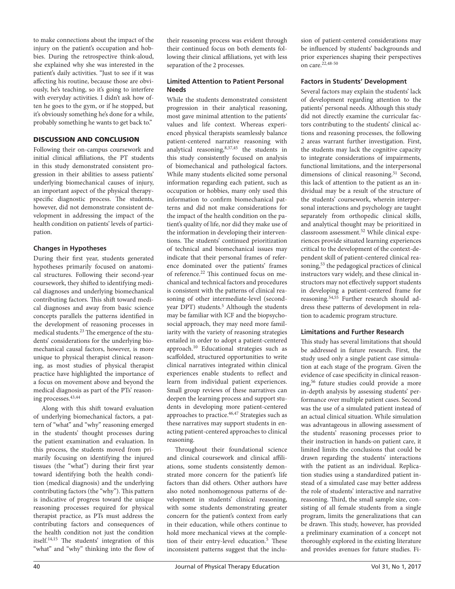to make connections about the impact of the injury on the patient's occupation and hobbies. During the retrospective think-aloud, she explained why she was interested in the patient's daily activities. "Just to see if it was affecting his routine, because those are obviously, he's teaching, so it's going to interfere with everyday activities. I didn't ask how often he goes to the gym, or if he stopped, but it's obviously something he's done for a while, probably something he wants to get back to."

## DISCUSSION AND CONCLUSION

Following their on-campus coursework and initial clinical affiliations, the PT students in this study demonstrated consistent progression in their abilities to assess patients' underlying biomechanical causes of injury, an important aspect of the physical therapyspecific diagnostic process. The students, however, did not demonstrate consistent development in addressing the impact of the health condition on patients' levels of participation.

## **Changes in Hypotheses**

During their first year, students generated hypotheses primarily focused on anatomical structures. Following their second-year coursework, they shifted to identifying medical diagnoses and underlying biomechanical contributing factors. This shift toward medical diagnoses and away from basic science concepts parallels the patterns identified in the development of reasoning processes in medical students.23 The emergence of the students' considerations for the underlying biomechanical causal factors, however, is more unique to physical therapist clinical reasoning, as most studies of physical therapist practice have highlighted the importance of a focus on movement above and beyond the medical diagnosis as part of the PTs' reasoning processes.43,44

Along with this shift toward evaluation of underlying biomechanical factors, a pattern of "what" and "why" reasoning emerged in the students' thought processes during the patient examination and evaluation. In this process, the students moved from primarily focusing on identifying the injured tissues (the "what") during their first year toward identifying both the health condition (medical diagnosis) and the underlying contributing factors (the "why"). This pattern is indicative of progress toward the unique reasoning processes required for physical therapist practice, as PTs must address the contributing factors and consequences of the health condition not just the condition itself.14,15 The students' integration of this "what" and "why" thinking into the flow of their reasoning process was evident through their continued focus on both elements following their clinical affiliations, yet with less separation of the 2 processes.

## **Limited Attention to Patient Personal Needs**

While the students demonstrated consistent progression in their analytical reasoning, most gave minimal attention to the patients' values and life context. Whereas experienced physical therapists seamlessly balance patient-centered narrative reasoning with analytical reasoning,8,37,45 the students in this study consistently focused on analysis of biomechanical and pathological factors. While many students elicited some personal information regarding each patient, such as occupation or hobbies, many only used this information to confirm biomechanical patterns and did not make considerations for the impact of the health condition on the patient's quality of life, nor did they make use of the information in developing their interventions. The students' continued prioritization of technical and biomechanical issues may indicate that their personal frames of reference dominated over the patients' frames of reference.22 This continued focus on mechanical and technical factors and procedures is consistent with the patterns of clinical reasoning of other intermediate-level (secondyear DPT) students.<sup>5</sup> Although the students may be familiar with ICF and the biopsychosocial approach, they may need more familiarity with the variety of reasoning strategies entailed in order to adopt a patient-centered approach.10 Educational strategies such as scaffolded, structured opportunities to write clinical narratives integrated within clinical experiences enable students to reflect and learn from individual patient experiences. Small group reviews of these narratives can deepen the learning process and support students in developing more patient-centered approaches to practice.46,47 Strategies such as these narratives may support students in enacting patient-centered approaches to clinical reasoning.

Throughout their foundational science and clinical coursework and clinical affiliations, some students consistently demonstrated more concern for the patient's life factors than did others. Other authors have also noted nonhomogenous patterns of development in students' clinical reasoning, with some students demonstrating greater concern for the patient's context from early in their education, while others continue to hold more mechanical views at the completion of their entry-level education.<sup>5</sup> These inconsistent patterns suggest that the inclu-

sion of patient-centered considerations may be influenced by students' backgrounds and prior experiences shaping their perspectives on care.22,48-50

## **Factors in Students' Development**

Several factors may explain the students' lack of development regarding attention to the patients' personal needs. Although this study did not directly examine the curricular factors contributing to the students' clinical actions and reasoning processes, the following 2 areas warrant further investigation. First, the students may lack the cognitive capacity to integrate considerations of impairments, functional limitations, and the interpersonal dimensions of clinical reasoning.<sup>51</sup> Second, this lack of attention to the patient as an individual may be a result of the structure of the students' coursework, wherein interpersonal interactions and psychology are taught separately from orthopedic clinical skills, and analytical thought may be prioritized in classroom assessment.<sup>52</sup> While clinical experiences provide situated learning experiences critical to the development of the context-dependent skill of patient-centered clinical reasoning,<sup>53</sup> the pedagogical practices of clinical instructors vary widely, and these clinical instructors may not effectively support students in developing a patient-centered frame for reasoning.54,55 Further research should address these patterns of development in relation to academic program structure.

## **Limitations and Further Research**

This study has several limitations that should be addressed in future research. First, the study used only a single patient case simulation at each stage of the program. Given the evidence of case specificity in clinical reasoning,56 future studies could provide a more in-depth analysis by assessing students' performance over multiple patient cases. Second was the use of a simulated patient instead of an actual clinical situation. While simulation was advantageous in allowing assessment of the students' reasoning processes prior to their instruction in hands-on patient care, it limited limits the conclusions that could be drawn regarding the students' interactions with the patient as an individual. Replication studies using a standardized patient instead of a simulated case may better address the role of students' interactive and narrative reasoning. Third, the small sample size, consisting of all female students from a single program, limits the generalizations that can be drawn. This study, however, has provided a preliminary examination of a concept not thoroughly explored in the existing literature and provides avenues for future studies. Fi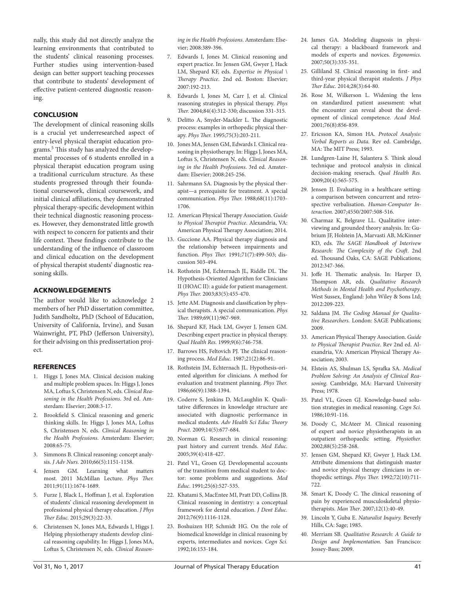nally, this study did not directly analyze the learning environments that contributed to the students' clinical reasoning processes. Further studies using intervention-based design can better support teaching processes that contribute to students' development of effective patient-centered diagnostic reasoning.

## **CONCLUSION**

The development of clinical reasoning skills is a crucial yet underresearched aspect of entry-level physical therapist education programs.5 This study has analyzed the developmental processes of 6 students enrolled in a physical therapist education program using a traditional curriculum structure. As these students progressed through their foundational coursework, clinical coursework, and initial clinical affiliations, they demonstrated physical therapy-specific development within their technical diagnostic reasoning processes. However, they demonstrated little growth with respect to concern for patients and their life context. These findings contribute to the understanding of the influence of classroom and clinical education on the development of physical therapist students' diagnostic reasoning skills.

### ACKNOWLEDGEMENTS

The author would like to acknowledge 2 members of her PhD dissertation committee, Judith Sandholtz, PhD (School of Education, University of California, Irvine), and Susan Wainwright, PT, PhD (Jefferson University), for their advising on this predissertation project.

### **REFERENCES**

- 1. Higgs J, Jones MA. Clinical decision making and multiple problem spaces. In: Higgs J, Jones MA, Loftus S, Christensen N, eds. *Clinical Reasoning in the Health Professions*. 3rd ed. Amsterdam: Elsevier; 2008:3-17.
- 2. Brookfield S. Clinical reasoning and generic thinking skills. In: Higgs J, Jones MA, Loftus S, Christensen N, eds. *Clinical Reasoning in the Health Professions*. Amsterdam: Elsevier; 2008:65-75.
- 3. Simmons B. Clinical reasoning: concept analysis. *J Adv Nurs.* 2010;66(5):1151-1158.
- 4. Jensen GM. Learning what matters most. 2011 McMillan Lecture. *Phys Ther.*  2011;91(11):1674-1689.
- 5. Furze J, Black L, Hoffman J, et al. Exploration of students' clinical reasoning development in professional physical therapy education. *J Phys Ther Educ.* 2015;29(3):22-33.
- 6. Christensen N, Jones MA, Edwards I, Higgs J. Helping physiotherapy students develop clinical reasoning capability. In: Higgs J, Jones MA, Loftus S, Christensen N, eds. *Clinical Reason-*

*ing in the Health Professions*. Amsterdam: Elsevier; 2008:389-396.

- 7. Edwards I, Jones M. Clinical reasoning and expert practice. In: Jensen GM, Gwyer J, Hack LM, Shepard KF, eds. *Expertise in Physical \ Therapy Practice*. 2nd ed. Boston: Elsevier; 2007:192-213.
- 8. Edwards I, Jones M, Carr J, et al. Clinical reasoning strategies in physical therapy. *Phys Ther.* 2004;84(4):312-330; discussion 331-315.
- 9. Delitto A, Snyder-Mackler L. The diagnostic process: examples in orthopedic physical therapy. *Phys Ther.* 1995;75(3):203-211.
- 10. Jones MA, Jensen GM, Edwards I. Clinical reasoning in physiotherapy. In: Higgs J, Jones MA, Loftus S, Christensen N, eds. *Clinical Reasoning in the Health Professions*. 3rd ed. Amsterdam: Elsevier; 2008:245-256.
- 11. Sahrmann SA. Diagnosis by the physical therapist—a prerequisite for treatment. A special communication. *Phys Ther.* 1988;68(11):1703- 1706.
- 12. American Physical Therapy Association. *Guide to Physical Therapist Practice.* Alexandria, VA: American Physical Therapy Association; 2014.
- 13. Guccione AA. Physical therapy diagnosis and the relationship between impairments and function. *Phys Ther.* 1991;71(7):499-503; discussion 503-494.
- 14. Rothstein JM, Echternach JL, Riddle DL. The Hypothesis-Oriented Algorithm for Clinicians II (HOAC II): a guide for patient management. *Phys Ther.* 2003;83(5):455-470.
- 15. Jette AM. Diagnosis and classification by physical therapists. A special communication. *Phys Ther.* 1989;69(11):967-969.
- 16. Shepard KF, Hack LM, Gwyer J, Jensen GM. Describing expert practice in physical therapy. *Qual Health Res.* 1999;9(6):746-758.
- 17. Barrows HS, Feltovich PJ. The clinical reasoning process. *Med Educ.* 1987;21(2):86-91.
- 18. Rothstein JM, Echternach JL. Hypothesis-oriented algorithm for clinicians. A method for evaluation and treatment planning. *Phys Ther.*  1986;66(9):1388-1394.
- 19. Coderre S, Jenkins D, McLaughlin K. Qualitative differences in knowledge structure are associated with diagnostic performance in medical students. *Adv Health Sci Educ Theory Pract.* 2009;14(5):677-684.
- 20. Norman G. Research in clinical reasoning: past history and current trends. *Med Educ.*  2005;39(4):418-427.
- 21. Patel VL, Groen GJ. Developmental accounts of the transition from medical student to doctor: some problems and suggestions. *Med Educ*. 1991;25(6):527-535.
- 22. Khatami S, MacEntee MI, Pratt DD, Collins JB. Clinical reasoning in dentistry: a conceptual framework for dental education. *J Dent Educ.*  2012;76(9):1116-1128.
- 23. Boshuizen HP, Schmidt HG. On the role of biomedical knoweldge in clinical reasoning by experts, intermediates and novices. *Cogn Sci.*  1992;16:153-184.
- 24. James GA. Modeling diagnosis in physical therapy: a blackboard framework and models of experts and novices. *Ergonomics.*  2007;50(3):335-351.
- 25. Gilliland SJ. Clinical reasoning in first- and third-year physical therapist students. *J Phys Ther Educ.* 2014;28(3):64-80.
- 26. Rose M, Wilkerson L. Widening the lens on standardized patient assessment: what the encounter can reveal about the development of clinical competence. *Acad Med.*  2001;76(8):856-859.
- 27. Ericsson KA, Simon HA. *Protocol Analysis: Verbal Reports as Data.* Rev ed. Cambridge, MA: The MIT Press; 1993.
- 28. Lundgren-Laine H, Salantera S. Think aloud technique and protocol analysis in clinical decision-making reserach. *Qual Health Res.*  2009;20(4):565-575.
- 29. Jensen JJ. Evaluating in a healthcare setting: a comparison between concurrent and retrospective verbalisation. *Human-Computer Interaction.* 2007;4550/2007:508-516.
- 30. Charmaz K, Belgrave LL. Qualitative interviewing and grounded theory analysis. In: Gubrium JF, Holstein JA, Marvasti AB, McKinner KD, eds. *The SAGE Handbook of Interivew Research: The Complexity of the Craft*. 2nd ed. Thousand Oaks, CA: SAGE Publications; 2012:347-366.
- 31. Joffe H. Thematic analysis. In: Harper D, Thompson AR, eds. *Qualitative Research Methods in Mental Health and Psychotherapy*. West Sussex, England: John Wiley & Sons Ltd; 2012:209-223.
- 32. Saldana JM. *The Coding Manual for Qualitative Researchers.* London: SAGE Publications; 2009.
- 33. American Physical Therapy Association. *Guide to Physical Therapist Practice*. Rev 2nd ed. Alexandria, VA: American Physical Therapy Association; 2003.
- 34. Elstein AS, Shulman LS, Sprafka SA. *Medical Problem Solving: An Analysis of Clinical Reasoning.* Cambridge, MA: Harvard University Press; 1978.
- 35. Patel VL, Groen GJ. Knowledge-based solution strategies in medical reasoning. *Cogn Sci.*  1986;10:91-116.
- 36. Doody C, McAteer M. Clinical reasoning of expert and novice physiotherapists in an outpatient orthopaedic setting. *Physiother.*  2002;88(5):258-268.
- 37. Jensen GM, Shepard KF, Gwyer J, Hack LM. Attribute dimensions that distinguish master and novice physical therapy clinicians in orthopedic settings. *Phys Ther.* 1992;72(10):711- 722.
- 38. Smart K, Doody C. The clinical reasoning of pain by experienced musculoskeletal physiotherapists. *Man Ther*. 2007;12(1):40-49.
- 39. Lincoln Y, Guba E. *Naturalist Inquiry.* Beverly Hills, CA: Sage; 1985.
- 40. Merriam SB. *Qualitative Research: A Guide to Design and Implementation.* San Francisco: Jossey-Bass; 2009.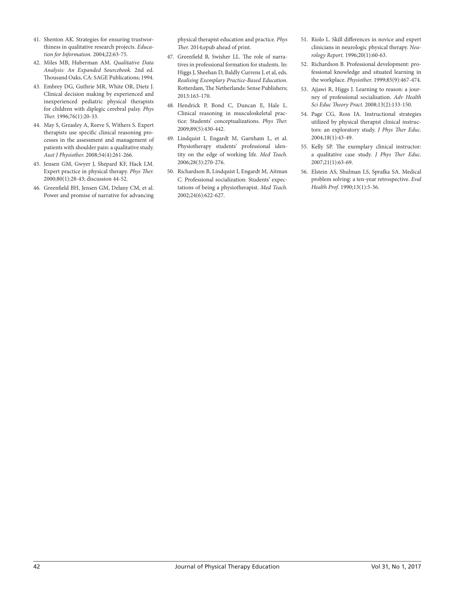- 41. Shenton AK. Strategies for ensuring trustworthiness in qualitative research projects. *Education for Information.* 2004;22:63-75.
- 42. Miles MB, Huberman AM. *Qualitative Data Analysis: An Expanded Sourcebook.* 2nd ed. Thousand Oaks, CA: SAGE Publications; 1994.
- 43. Embrey DG, Guthrie MR, White OR, Dietz J. Clinical decision making by experienced and inexperienced pediatric physical therapists for children with diplegic cerebral palsy. *Phys Ther.* 1996;76(1):20-33.
- 44. May S, Greasley A, Reeve S, Withers S. Expert therapists use specific clinical reasoning processes in the assessment and management of patients with shoulder pain: a qualitative study. *Aust J Physiother.* 2008;54(4):261-266.
- 45. Jensen GM, Gwyer J, Shepard KF, Hack LM. Expert practice in physical therapy. *Phys Ther.*  2000;80(1):28-43; discussion 44-52.
- 46. Greenfield BH, Jensen GM, Delany CM, et al. Power and promise of narrative for advancing

physical therapist education and practice. *Phys Ther.* 2014;epub ahead of print.

- 47. Greenfield B, Swisher LL. The role of narratives in professional formation for students. In: Higgs J, Sheehan D, Baldly Currens J, et al, eds. *Realising Exemplary Practice-Based Education*. Rotterdam, The Netherlands: Sense Publishers; 2013:163-170.
- 48. Hendrick P, Bond C, Duncan E, Hale L. Clinical reasoning in musculoskeletal practice: Students' conceptualizations. *Phys Ther.*  2009;89(5):430-442.
- 49. Lindquist I, Engardt M, Garnham L, et al. Physiotherapy students' professional identity on the edge of working life. *Med Teach.*  2006;28(3):270-276.
- 50. Richardson B, Lindquist I, Engardt M, Aitman C. Professional socialization: Students' expectations of being a physiotherapist. *Med Teach.*  2002;24(6):622-627.
- 51. Riolo L. Skill differences in novice and expert clinicians in neurologic physical therapy. *Neurology Report.* 1996;20(1):60-63.
- 52. Richardson B. Professional development: professional knowledge and situated learning in the workplace. *Physiother.* 1999;85(9):467-474.
- 53. Ajjawi R, Higgs J. Learning to reason: a journey of professional socialisation. *Adv Health Sci Educ Theory Pract.* 2008;13(2):133-150.
- 54. Page CG, Ross IA. Instructional strategies utilized by physical therapist clinical instructors: an exploratory study. *J Phys Ther Educ.*  2004;18(1):43-49.
- 55. Kelly SP. The exemplary clinical instructor: a qualitative case study. *J Phys Ther Educ.*  2007;21(1):63-69.
- 56. Elstein AS, Shulman LS, Sprafka SA. Medical problem solving: a ten-year retrospective. *Eval Health Prof.* 1990;13(1):5-36.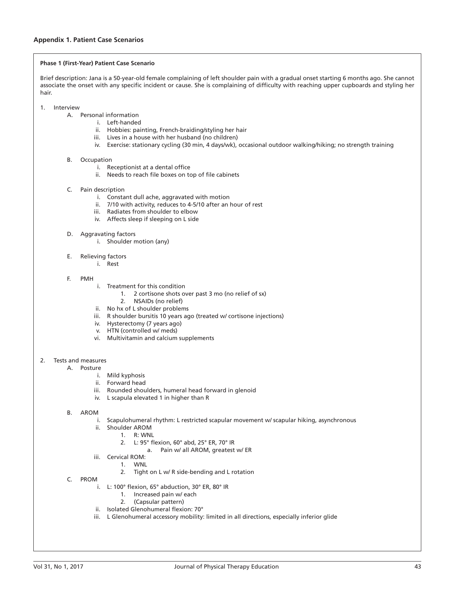#### **Phase 1 (First-Year) Patient Case Scenario**

Brief description: Jana is a 50-year-old female complaining of left shoulder pain with a gradual onset starting 6 months ago. She cannot associate the onset with any specific incident or cause. She is complaining of difficulty with reaching upper cupboards and styling her hair.

- 1. Interview
	- A. Personal information
		- i. Left-handed
		- ii. Hobbies: painting, French-braiding/styling her hair
		- iii. Lives in a house with her husband (no children)
		- iv. Exercise: stationary cycling (30 min, 4 days/wk), occasional outdoor walking/hiking; no strength training

#### B. Occupation

- i. Receptionist at a dental office
- ii. Needs to reach file boxes on top of file cabinets
- C. Pain description
	- i. Constant dull ache, aggravated with motion
	- ii. 7/10 with activity, reduces to 4-5/10 after an hour of rest
	- iii. Radiates from shoulder to elbow
	- iv. Affects sleep if sleeping on L side
- D. Aggravating factors
	- i. Shoulder motion (any)
- E. Relieving factors
	- i. Rest
- F. PMH
	- i. Treatment for this condition
		- 1. 2 cortisone shots over past 3 mo (no relief of sx)
		- 2. NSAIDs (no relief)
	- ii. No hx of L shoulder problems
	- iii. R shoulder bursitis 10 years ago (treated w/ cortisone injections)
	- iv. Hysterectomy (7 years ago)
	- v. HTN (controlled w/ meds)
	- vi. Multivitamin and calcium supplements

## 2. Tests and measures

- A. Posture
	- i. Mild kyphosis
	- ii. Forward head
	- iii. Rounded shoulders, humeral head forward in glenoid
	- iv. L scapula elevated 1 in higher than R
- B. AROM
	- i. Scapulohumeral rhythm: L restricted scapular movement w/ scapular hiking, asynchronous
	- ii. Shoulder AROM
		- 1. R: WNL
		- 2. L: 95° flexion, 60° abd, 25° ER, 70° IR
			- a. Pain w/ all AROM, greatest w/ ER
	- iii. Cervical ROM:
		- 1. WNL
			- 2. Tight on L w/ R side-bending and L rotation
- C. PROM
	- i. L: 100° flexion, 65° abduction, 30° ER, 80° IR
		- 1. Increased pain w/ each
		- 2. (Capsular pattern)
	- ii. Isolated Glenohumeral flexion: 70°
	- iii. L Glenohumeral accessory mobility: limited in all directions, especially inferior glide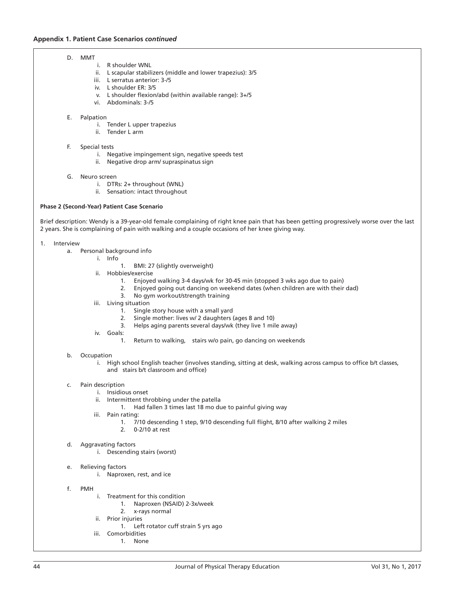- D. MMT
	- i. R shoulder WNL
	- ii. L scapular stabilizers (middle and lower trapezius): 3/5
	- iii. L serratus anterior: 3-/5
	- iv. L shoulder ER: 3/5
	- v. L shoulder flexion/abd (within available range): 3+/5
	- vi. Abdominals: 3-/5

#### E. Palpation

- i. Tender L upper trapezius
- ii. Tender L arm
- F. Special tests
	- i. Negative impingement sign, negative speeds test
	- ii. Negative drop arm/ supraspinatus sign
- G. Neuro screen
	- i. DTRs: 2+ throughout (WNL)
	- ii. Sensation: intact throughout

#### **Phase 2 (Second-Year) Patient Case Scenario**

Brief description: Wendy is a 39-year-old female complaining of right knee pain that has been getting progressively worse over the last 2 years. She is complaining of pain with walking and a couple occasions of her knee giving way.

- 1. Interview
	- a. Personal background info
		- i. Info
			- 1. BMI: 27 (slightly overweight)
			- ii. Hobbies/exercise
				- 1. Enjoyed walking 3-4 days/wk for 30-45 min (stopped 3 wks ago due to pain)
				- 2. Enjoyed going out dancing on weekend dates (when children are with their dad)
				- 3. No gym workout/strength training
			- iii. Living situation
				- 1. Single story house with a small yard
				- 2. Single mother: lives w/ 2 daughters (ages 8 and 10)
				- 3. Helps aging parents several days/wk (they live 1 mile away)
			- iv. Goals:
				- 1. Return to walking, stairs w/o pain, go dancing on weekends
	- b. Occupation
		- i. High school English teacher (involves standing, sitting at desk, walking across campus to office b/t classes, and stairs b/t classroom and office)
	- c. Pain description
		- i. Insidious onset
		- ii. Intermittent throbbing under the patella
			- 1. Had fallen 3 times last 18 mo due to painful giving way
		- iii. Pain rating:
			- 1. 7/10 descending 1 step, 9/10 descending full flight, 8/10 after walking 2 miles
			- 2. 0-2/10 at rest
	- d. Aggravating factors
		- i. Descending stairs (worst)
	- e. Relieving factors
		- i. Naproxen, rest, and ice
	- f. PMH
		- i. Treatment for this condition
			- 1. Naproxen (NSAID) 2-3x/week
			- 2. x-rays normal
		- ii. Prior injuries
			- 1. Left rotator cuff strain 5 yrs ago
		- iii. Comorbidities
			- 1. None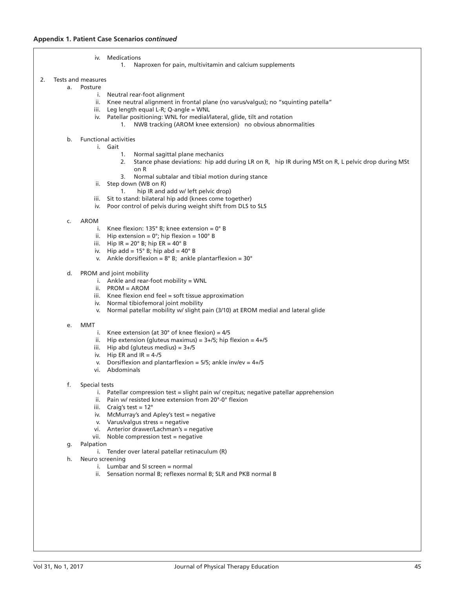- iv. Medications
	- 1. Naproxen for pain, multivitamin and calcium supplements
- 2. Tests and measures
	- a. Posture
		- i. Neutral rear-foot alignment
		- ii. Knee neutral alignment in frontal plane (no varus/valgus); no "squinting patella"
		- iii. Leg length equal L-R; Q-angle = WNL
		- iv. Patellar positioning: WNL for medial/lateral, glide, tilt and rotation
			- 1. NWB tracking (AROM knee extension) no obvious abnormalities
		- b. Functional activities
			- i. Gait
				- 1. Normal sagittal plane mechanics
				- 2. Stance phase deviations: hip add during LR on R, hip IR during MSt on R, L pelvic drop during MSt on R
				- 3. Normal subtalar and tibial motion during stance
				- ii. Step down (WB on R)
					- 1. hip IR and add w/ left pelvic drop)
				- iii. Sit to stand: bilateral hip add (knees come together)
				- iv. Poor control of pelvis during weight shift from DLS to SLS
		- c. AROM
			- i. Knee flexion: 135° B; knee extension = 0° B
			- ii. Hip extension =  $0^\circ$ ; hip flexion =  $100^\circ$  B
			- iii. Hip  $IR = 20^\circ$  B; hip  $ER = 40^\circ$  B
			- iv. Hip add =  $15^{\circ}$  B; hip abd =  $40^{\circ}$  B
			- v. Ankle dorsiflexion =  $8^{\circ}$  B; ankle plantarflexion =  $30^{\circ}$
		- d. PROM and joint mobility
			- i. Ankle and rear-foot mobility = WNL
			- ii. PROM = AROM
			- iii. Knee flexion end feel = soft tissue approximation
			- iv. Normal tibiofemoral joint mobility
			- v. Normal patellar mobility w/ slight pain (3/10) at EROM medial and lateral glide
		- e. MMT
			- i. Knee extension (at 30 $^{\circ}$  of knee flexion) = 4/5
			- ii. Hip extension (gluteus maximus) =  $3+/5$ ; hip flexion =  $4+/5$
			- iii. Hip abd (gluteus medius) =  $3+/5$
			- iv. Hip ER and  $IR = 4-75$
			- v. Dorsiflexion and plantarflexion =  $5/5$ ; ankle inv/ev =  $4+/5$
			- vi. Abdominals
		- f. Special tests
			- i. Patellar compression test = slight pain w/ crepitus; negative patellar apprehension
			- ii. Pain w/ resisted knee extension from 20°-0° flexion
			- iii. Craig's test = 12°
			- iv. McMurray's and Apley's test = negative
			- v. Varus/valgus stress = negative
			- vi. Anterior drawer/Lachman's = negative
			- vii. Noble compression test = negative
		- g. Palpation
			- i. Tender over lateral patellar retinaculum (R)
		- h. Neuro screening
			- i. Lumbar and SI screen = normal
			- ii. Sensation normal B; reflexes normal B; SLR and PKB normal B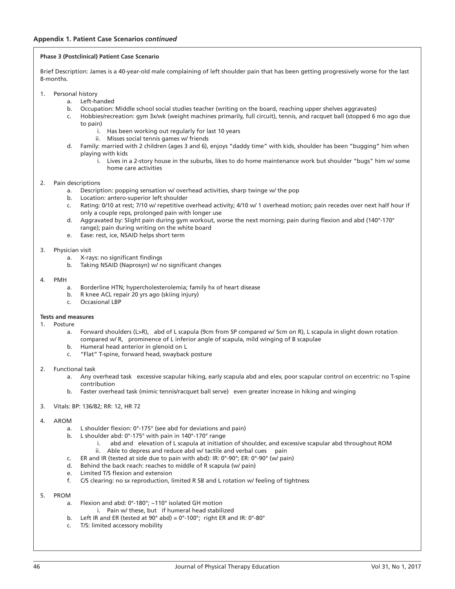#### **Phase 3 (Postclinical) Patient Case Scenario**

Brief Description: James is a 40-year-old male complaining of left shoulder pain that has been getting progressively worse for the last 8-months.

- 1. Personal history
	- a. Left-handed
	- b. Occupation: Middle school social studies teacher (writing on the board, reaching upper shelves aggravates)
	- c. Hobbies/recreation: gym 3x/wk (weight machines primarily, full circuit), tennis, and racquet ball (stopped 6 mo ago due to pain)
		- i. Has been working out regularly for last 10 years
		- ii. Misses social tennis games w/ friends
		- d. Family: married with 2 children (ages 3 and 6), enjoys "daddy time" with kids, shoulder has been "bugging" him when playing with kids
			- i. Lives in a 2-story house in the suburbs, likes to do home maintenance work but shoulder "bugs" him w/ some home care activities
- 2. Pain descriptions
	- a. Description: popping sensation w/ overhead activities, sharp twinge w/ the pop
	- b. Location: antero-superior left shoulder
	- c. Rating: 0/10 at rest; 7/10 w/ repetitive overhead activity; 4/10 w/ 1 overhead motion; pain recedes over next half hour if only a couple reps, prolonged pain with longer use
	- d. Aggravated by: Slight pain during gym workout, worse the next morning; pain during flexion and abd (140°-170° range); pain during writing on the white board
	- e. Ease: rest, ice, NSAID helps short term
- 3. Physician visit
	- a. X-rays: no significant findings
	- b. Taking NSAID (Naprosyn) w/ no significant changes

#### 4. PMH

- a. Borderline HTN; hypercholesterolemia; family hx of heart disease
- b. R knee ACL repair 20 yrs ago (skiing injury) c. Occasional LBP
- **Tests and measures**
- 1. Posture
	- a. Forward shoulders (L>R), abd of L scapula (9cm from SP compared w/ 5cm on R), L scapula in slight down rotation compared w/ R, prominence of L inferior angle of scapula, mild winging of B scapulae
	- b. Humeral head anterior in glenoid on L
	- c. "Flat" T-spine, forward head, swayback posture
- 2. Functional task
	- a. Any overhead task excessive scapular hiking, early scapula abd and elev, poor scapular control on eccentric: no T-spine contribution
	- b. Faster overhead task (mimic tennis/racquet ball serve) even greater increase in hiking and winging
- 3. Vitals: BP: 136/82; RR: 12, HR 72

#### 4. AROM

- a. L shoulder flexion: 0°-175° (see abd for deviations and pain)
- b. L shoulder abd: 0°-175° with pain in 140°-170° range
	- i. abd and elevation of L scapula at initiation of shoulder, and excessive scapular abd throughout ROM
	- ii. Able to depress and reduce abd w/ tactile and verbal cues pain
- c. ER and IR (tested at side due to pain with abd): IR: 0°-90°; ER: 0°-90° (w/ pain)
- d. Behind the back reach: reaches to middle of R scapula (w/ pain)
- e. Limited T/S flexion and extension
- f. C/S clearing: no sx reproduction, limited R SB and L rotation w/ feeling of tightness

#### 5. PROM

- a. Flexion and abd: 0°-180°; ~110° isolated GH motion
	- i. Pain w/ these, but if humeral head stabilized
- b. Left IR and ER (tested at 90° abd) =  $0^{\circ}$ -100°; right ER and IR:  $0^{\circ}$ -80°
- c. T/S: limited accessory mobility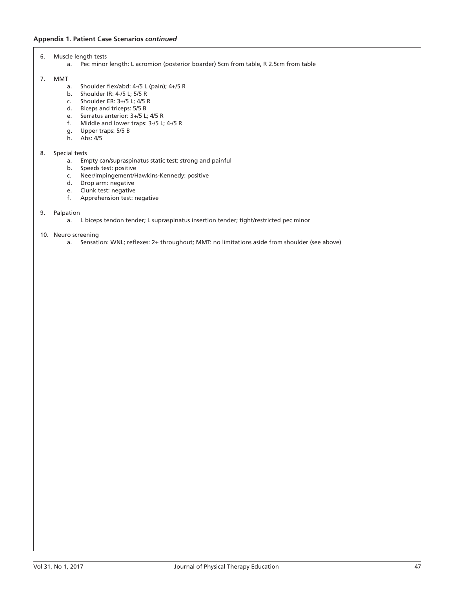- 6. Muscle length tests
	- a. Pec minor length: L acromion (posterior boarder) 5cm from table, R 2.5cm from table

#### 7. MMT

- a. Shoulder flex/abd: 4-/5 L (pain); 4+/5 R
- b. Shoulder IR: 4-/5 L; 5/5 R
- c. Shoulder ER: 3+/5 L; 4/5 R
- d. Biceps and triceps: 5/5 B
- e. Serratus anterior: 3+/5 L; 4/5 R
- f. Middle and lower traps: 3-/5 L; 4-/5 R
- g. Upper traps: 5/5 B
- h. Abs: 4/5

#### 8. Special tests

- a. Empty can/supraspinatus static test: strong and painful
- b. Speeds test: positive
- c. Neer/impingement/Hawkins-Kennedy: positive
- d. Drop arm: negative
- e. Clunk test: negative
- f. Apprehension test: negative
- 9. Palpation
	- a. L biceps tendon tender; L supraspinatus insertion tender; tight/restricted pec minor
- 10. Neuro screening
	- a. Sensation: WNL; reflexes: 2+ throughout; MMT: no limitations aside from shoulder (see above)